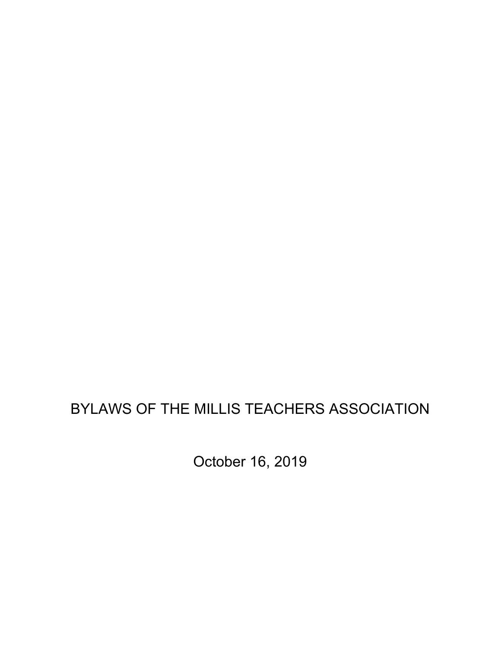# BYLAWS OF THE MILLIS TEACHERS ASSOCIATION

October 16, 2019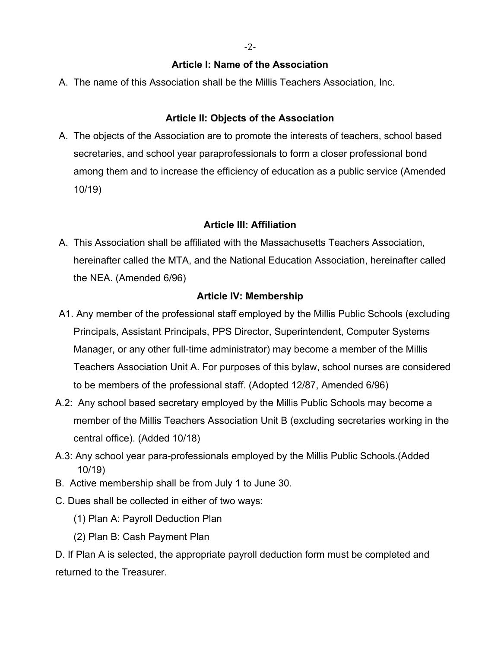-2-

#### **Article I: Name of the Association**

A. The name of this Association shall be the Millis Teachers Association, Inc.

### **Article II: Objects of the Association**

A. The objects of the Association are to promote the interests of teachers, school based secretaries, and school year paraprofessionals to form a closer professional bond among them and to increase the efficiency of education as a public service (Amended 10/19)

## **Article III: Affiliation**

A. This Association shall be affiliated with the Massachusetts Teachers Association, hereinafter called the MTA, and the National Education Association, hereinafter called the NEA. (Amended 6/96)

## **Article IV: Membership**

- A1. Any member of the professional staff employed by the Millis Public Schools (excluding Principals, Assistant Principals, PPS Director, Superintendent, Computer Systems Manager, or any other full-time administrator) may become a member of the Millis Teachers Association Unit A. For purposes of this bylaw, school nurses are considered to be members of the professional staff. (Adopted 12/87, Amended 6/96)
- A.2: Any school based secretary employed by the Millis Public Schools may become a member of the Millis Teachers Association Unit B (excluding secretaries working in the central office). (Added 10/18)
- A.3: Any school year para-professionals employed by the Millis Public Schools.(Added 10/19)
- B. Active membership shall be from July 1 to June 30.
- C. Dues shall be collected in either of two ways:
	- (1) Plan A: Payroll Deduction Plan
	- (2) Plan B: Cash Payment Plan

D. If Plan A is selected, the appropriate payroll deduction form must be completed and returned to the Treasurer.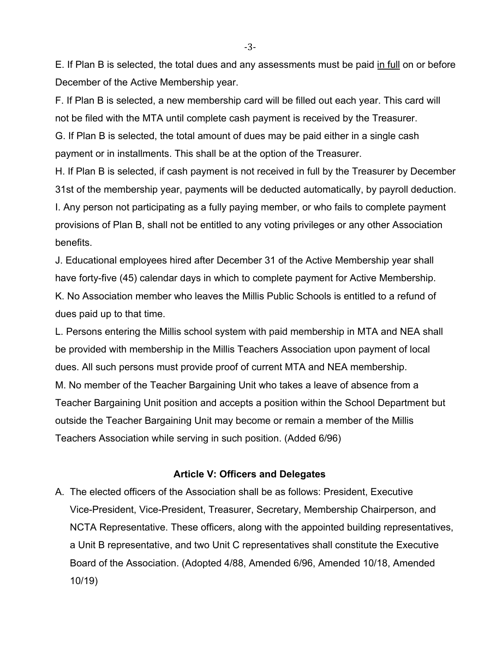E. If Plan B is selected, the total dues and any assessments must be paid in full on or before December of the Active Membership year.

F. If Plan B is selected, a new membership card will be filled out each year. This card will not be filed with the MTA until complete cash payment is received by the Treasurer. G. If Plan B is selected, the total amount of dues may be paid either in a single cash payment or in installments. This shall be at the option of the Treasurer.

H. If Plan B is selected, if cash payment is not received in full by the Treasurer by December 31st of the membership year, payments will be deducted automatically, by payroll deduction. I. Any person not participating as a fully paying member, or who fails to complete payment provisions of Plan B, shall not be entitled to any voting privileges or any other Association benefits.

J. Educational employees hired after December 31 of the Active Membership year shall have forty-five (45) calendar days in which to complete payment for Active Membership. K. No Association member who leaves the Millis Public Schools is entitled to a refund of dues paid up to that time.

L. Persons entering the Millis school system with paid membership in MTA and NEA shall be provided with membership in the Millis Teachers Association upon payment of local dues. All such persons must provide proof of current MTA and NEA membership. M. No member of the Teacher Bargaining Unit who takes a leave of absence from a Teacher Bargaining Unit position and accepts a position within the School Department but outside the Teacher Bargaining Unit may become or remain a member of the Millis Teachers Association while serving in such position. (Added 6/96)

#### **Article V: Officers and Delegates**

A. The elected officers of the Association shall be as follows: President, Executive Vice-President, Vice-President, Treasurer, Secretary, Membership Chairperson, and NCTA Representative. These officers, along with the appointed building representatives, a Unit B representative, and two Unit C representatives shall constitute the Executive Board of the Association. (Adopted 4/88, Amended 6/96, Amended 10/18, Amended 10/19)

-3-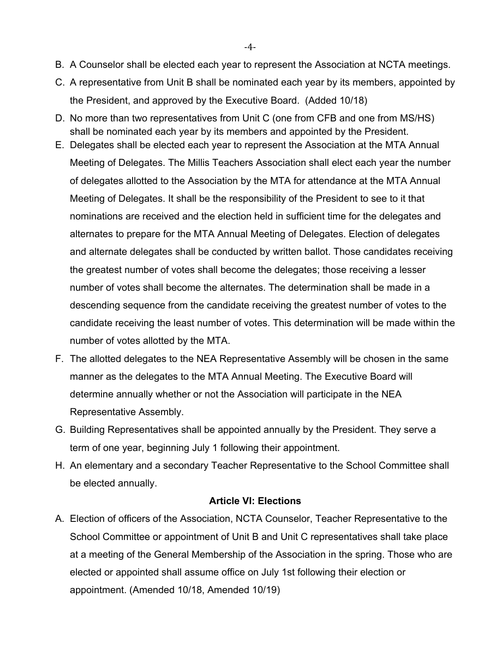- B. A Counselor shall be elected each year to represent the Association at NCTA meetings.
- C. A representative from Unit B shall be nominated each year by its members, appointed by the President, and approved by the Executive Board. (Added 10/18)
- D. No more than two representatives from Unit C (one from CFB and one from MS/HS) shall be nominated each year by its members and appointed by the President.
- E. Delegates shall be elected each year to represent the Association at the MTA Annual Meeting of Delegates. The Millis Teachers Association shall elect each year the number of delegates allotted to the Association by the MTA for attendance at the MTA Annual Meeting of Delegates. It shall be the responsibility of the President to see to it that nominations are received and the election held in sufficient time for the delegates and alternates to prepare for the MTA Annual Meeting of Delegates. Election of delegates and alternate delegates shall be conducted by written ballot. Those candidates receiving the greatest number of votes shall become the delegates; those receiving a lesser number of votes shall become the alternates. The determination shall be made in a descending sequence from the candidate receiving the greatest number of votes to the candidate receiving the least number of votes. This determination will be made within the number of votes allotted by the MTA.
- F. The allotted delegates to the NEA Representative Assembly will be chosen in the same manner as the delegates to the MTA Annual Meeting. The Executive Board will determine annually whether or not the Association will participate in the NEA Representative Assembly.
- G. Building Representatives shall be appointed annually by the President. They serve a term of one year, beginning July 1 following their appointment.
- H. An elementary and a secondary Teacher Representative to the School Committee shall be elected annually.

#### **Article VI: Elections**

A. Election of officers of the Association, NCTA Counselor, Teacher Representative to the School Committee or appointment of Unit B and Unit C representatives shall take place at a meeting of the General Membership of the Association in the spring. Those who are elected or appointed shall assume office on July 1st following their election or appointment. (Amended 10/18, Amended 10/19)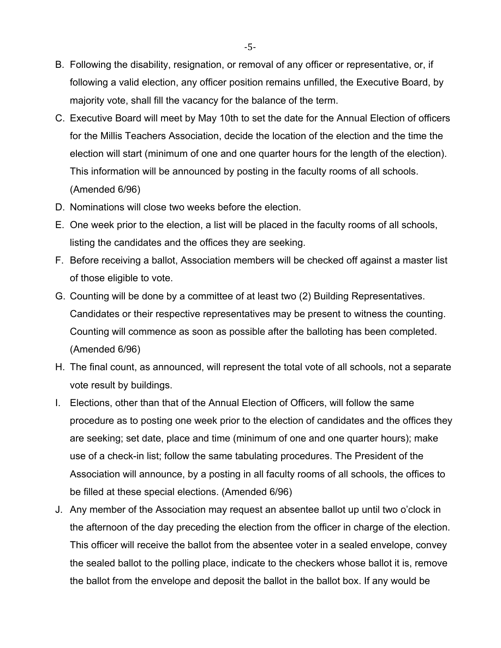- B. Following the disability, resignation, or removal of any officer or representative, or, if following a valid election, any officer position remains unfilled, the Executive Board, by majority vote, shall fill the vacancy for the balance of the term.
- C. Executive Board will meet by May 10th to set the date for the Annual Election of officers for the Millis Teachers Association, decide the location of the election and the time the election will start (minimum of one and one quarter hours for the length of the election). This information will be announced by posting in the faculty rooms of all schools. (Amended 6/96)
- D. Nominations will close two weeks before the election.
- E. One week prior to the election, a list will be placed in the faculty rooms of all schools, listing the candidates and the offices they are seeking.
- F. Before receiving a ballot, Association members will be checked off against a master list of those eligible to vote.
- G. Counting will be done by a committee of at least two (2) Building Representatives. Candidates or their respective representatives may be present to witness the counting. Counting will commence as soon as possible after the balloting has been completed. (Amended 6/96)
- H. The final count, as announced, will represent the total vote of all schools, not a separate vote result by buildings.
- I. Elections, other than that of the Annual Election of Officers, will follow the same procedure as to posting one week prior to the election of candidates and the offices they are seeking; set date, place and time (minimum of one and one quarter hours); make use of a check-in list; follow the same tabulating procedures. The President of the Association will announce, by a posting in all faculty rooms of all schools, the offices to be filled at these special elections. (Amended 6/96)
- J. Any member of the Association may request an absentee ballot up until two o'clock in the afternoon of the day preceding the election from the officer in charge of the election. This officer will receive the ballot from the absentee voter in a sealed envelope, convey the sealed ballot to the polling place, indicate to the checkers whose ballot it is, remove the ballot from the envelope and deposit the ballot in the ballot box. If any would be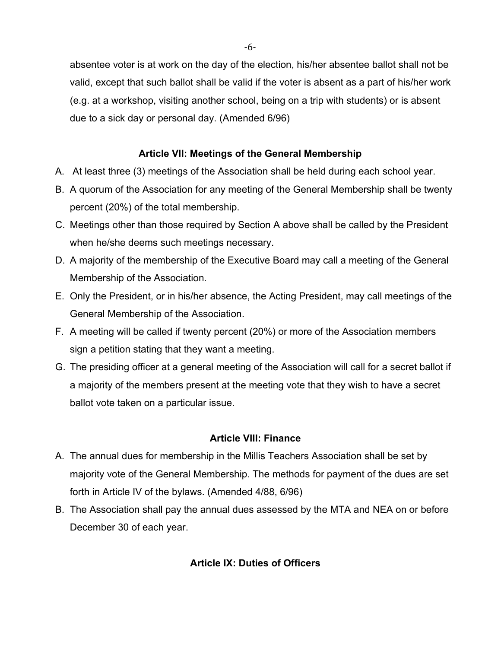absentee voter is at work on the day of the election, his/her absentee ballot shall not be valid, except that such ballot shall be valid if the voter is absent as a part of his/her work (e.g. at a workshop, visiting another school, being on a trip with students) or is absent due to a sick day or personal day. (Amended 6/96)

### **Article VII: Meetings of the General Membership**

- A. At least three (3) meetings of the Association shall be held during each school year.
- B. A quorum of the Association for any meeting of the General Membership shall be twenty percent (20%) of the total membership.
- C. Meetings other than those required by Section A above shall be called by the President when he/she deems such meetings necessary.
- D. A majority of the membership of the Executive Board may call a meeting of the General Membership of the Association.
- E. Only the President, or in his/her absence, the Acting President, may call meetings of the General Membership of the Association.
- F. A meeting will be called if twenty percent (20%) or more of the Association members sign a petition stating that they want a meeting.
- G. The presiding officer at a general meeting of the Association will call for a secret ballot if a majority of the members present at the meeting vote that they wish to have a secret ballot vote taken on a particular issue.

#### **Article VIII: Finance**

- A. The annual dues for membership in the Millis Teachers Association shall be set by majority vote of the General Membership. The methods for payment of the dues are set forth in Article IV of the bylaws. (Amended 4/88, 6/96)
- B. The Association shall pay the annual dues assessed by the MTA and NEA on or before December 30 of each year.

#### **Article IX: Duties of Officers**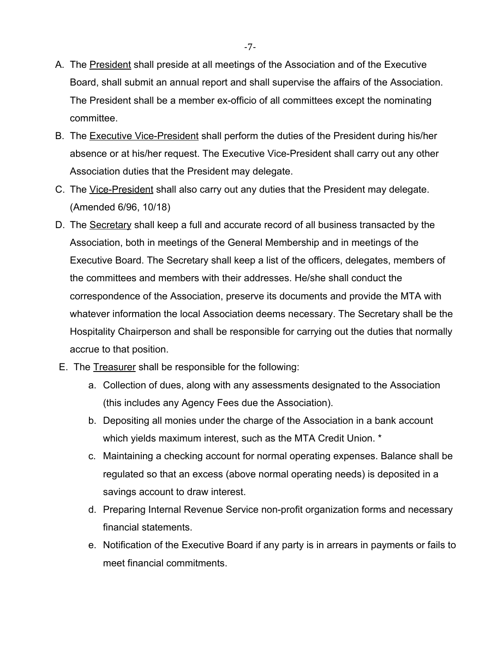- A. The President shall preside at all meetings of the Association and of the Executive Board, shall submit an annual report and shall supervise the affairs of the Association. The President shall be a member ex-officio of all committees except the nominating committee.
- B. The Executive Vice-President shall perform the duties of the President during his/her absence or at his/her request. The Executive Vice-President shall carry out any other Association duties that the President may delegate.
- C. The Vice-President shall also carry out any duties that the President may delegate. (Amended 6/96, 10/18)
- D. The Secretary shall keep a full and accurate record of all business transacted by the Association, both in meetings of the General Membership and in meetings of the Executive Board. The Secretary shall keep a list of the officers, delegates, members of the committees and members with their addresses. He/she shall conduct the correspondence of the Association, preserve its documents and provide the MTA with whatever information the local Association deems necessary. The Secretary shall be the Hospitality Chairperson and shall be responsible for carrying out the duties that normally accrue to that position.
- E. The Treasurer shall be responsible for the following:
	- a. Collection of dues, along with any assessments designated to the Association (this includes any Agency Fees due the Association).
	- b. Depositing all monies under the charge of the Association in a bank account which yields maximum interest, such as the MTA Credit Union. \*
	- c. Maintaining a checking account for normal operating expenses. Balance shall be regulated so that an excess (above normal operating needs) is deposited in a savings account to draw interest.
	- d. Preparing Internal Revenue Service non-profit organization forms and necessary financial statements.
	- e. Notification of the Executive Board if any party is in arrears in payments or fails to meet financial commitments.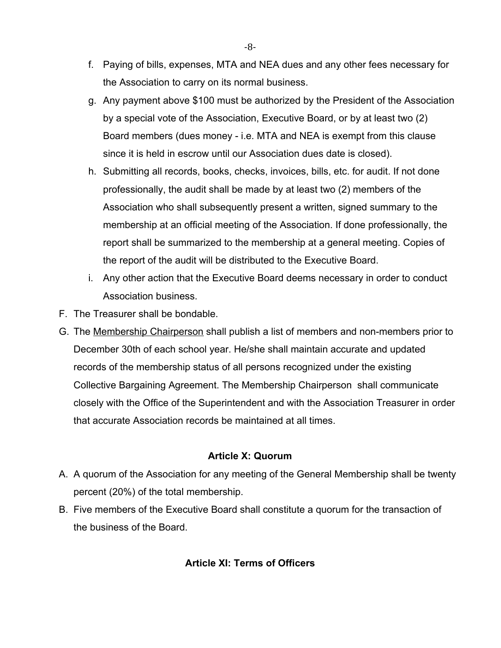- f. Paying of bills, expenses, MTA and NEA dues and any other fees necessary for the Association to carry on its normal business.
- g. Any payment above \$100 must be authorized by the President of the Association by a special vote of the Association, Executive Board, or by at least two (2) Board members (dues money - i.e. MTA and NEA is exempt from this clause since it is held in escrow until our Association dues date is closed).
- h. Submitting all records, books, checks, invoices, bills, etc. for audit. If not done professionally, the audit shall be made by at least two (2) members of the Association who shall subsequently present a written, signed summary to the membership at an official meeting of the Association. If done professionally, the report shall be summarized to the membership at a general meeting. Copies of the report of the audit will be distributed to the Executive Board.
- i. Any other action that the Executive Board deems necessary in order to conduct Association business.
- F. The Treasurer shall be bondable.
- G. The Membership Chairperson shall publish a list of members and non-members prior to December 30th of each school year. He/she shall maintain accurate and updated records of the membership status of all persons recognized under the existing Collective Bargaining Agreement. The Membership Chairperson shall communicate closely with the Office of the Superintendent and with the Association Treasurer in order that accurate Association records be maintained at all times.

#### **Article X: Quorum**

- A. A quorum of the Association for any meeting of the General Membership shall be twenty percent (20%) of the total membership.
- B. Five members of the Executive Board shall constitute a quorum for the transaction of the business of the Board.

# **Article XI: Terms of Officers**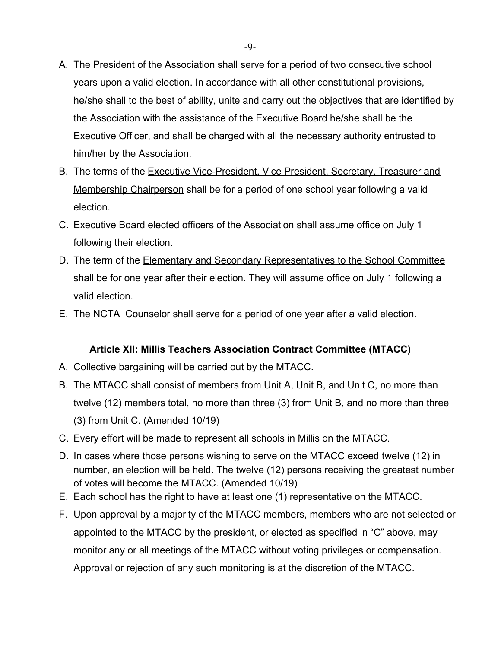- A. The President of the Association shall serve for a period of two consecutive school years upon a valid election. In accordance with all other constitutional provisions, he/she shall to the best of ability, unite and carry out the objectives that are identified by the Association with the assistance of the Executive Board he/she shall be the Executive Officer, and shall be charged with all the necessary authority entrusted to him/her by the Association.
- B. The terms of the Executive Vice-President, Vice President, Secretary, Treasurer and Membership Chairperson shall be for a period of one school year following a valid election.
- C. Executive Board elected officers of the Association shall assume office on July 1 following their election.
- D. The term of the **Elementary and Secondary Representatives to the School Committee** shall be for one year after their election. They will assume office on July 1 following a valid election.
- E. The NCTA Counselor shall serve for a period of one year after a valid election.

#### **Article XII: Millis Teachers Association Contract Committee (MTACC)**

- A. Collective bargaining will be carried out by the MTACC.
- B. The MTACC shall consist of members from Unit A, Unit B, and Unit C, no more than twelve (12) members total, no more than three (3) from Unit B, and no more than three (3) from Unit C. (Amended 10/19)
- C. Every effort will be made to represent all schools in Millis on the MTACC.
- D. In cases where those persons wishing to serve on the MTACC exceed twelve (12) in number, an election will be held. The twelve (12) persons receiving the greatest number of votes will become the MTACC. (Amended 10/19)
- E. Each school has the right to have at least one (1) representative on the MTACC.
- F. Upon approval by a majority of the MTACC members, members who are not selected or appointed to the MTACC by the president, or elected as specified in "C" above, may monitor any or all meetings of the MTACC without voting privileges or compensation. Approval or rejection of any such monitoring is at the discretion of the MTACC.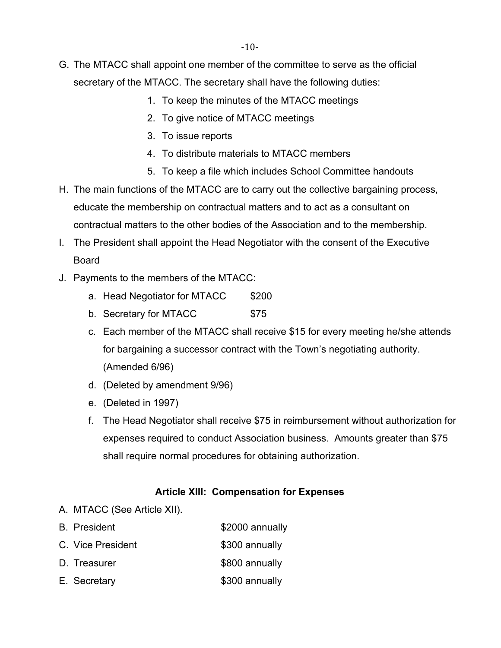- G. The MTACC shall appoint one member of the committee to serve as the official secretary of the MTACC. The secretary shall have the following duties:
	- 1. To keep the minutes of the MTACC meetings
	- 2. To give notice of MTACC meetings
	- 3. To issue reports
	- 4. To distribute materials to MTACC members
	- 5. To keep a file which includes School Committee handouts
- H. The main functions of the MTACC are to carry out the collective bargaining process, educate the membership on contractual matters and to act as a consultant on contractual matters to the other bodies of the Association and to the membership.
- I. The President shall appoint the Head Negotiator with the consent of the Executive Board
- J. Payments to the members of the MTACC:
	- a. Head Negotiator for MTACC \$200
	- b. Secretary for MTACC \$75
	- c. Each member of the MTACC shall receive \$15 for every meeting he/she attends for bargaining a successor contract with the Town's negotiating authority. (Amended 6/96)
	- d. (Deleted by amendment 9/96)
	- e. (Deleted in 1997)
	- f. The Head Negotiator shall receive \$75 in reimbursement without authorization for expenses required to conduct Association business. Amounts greater than \$75 shall require normal procedures for obtaining authorization.

#### **Article XIII: Compensation for Expenses**

- A. MTACC (See Article XII).
- B. President **\$2000** annually C. Vice President \$300 annually
- D. Treasurer \$800 annually
- E. Secretary 6300 annually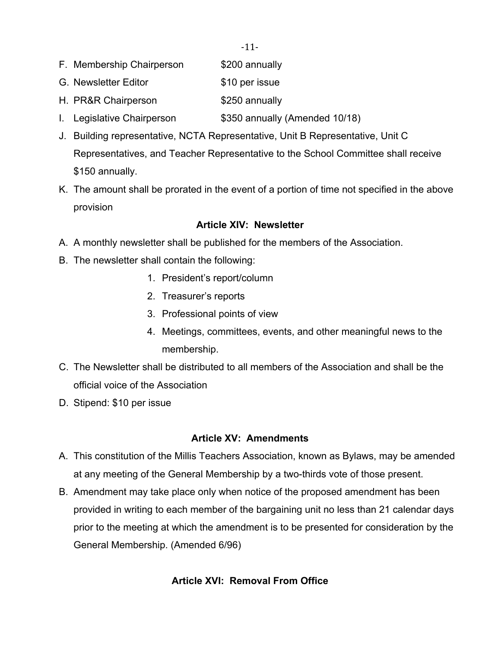- -11-
- F. Membership Chairperson \$200 annually
- G. Newsletter Editor **\$10 per issue**
- H. PR&R Chairperson \$250 annually
- I. Legislative Chairperson \$350 annually (Amended 10/18)
- J. Building representative, NCTA Representative, Unit B Representative, Unit C Representatives, and Teacher Representative to the School Committee shall receive \$150 annually.
- K. The amount shall be prorated in the event of a portion of time not specified in the above provision

# **Article XIV: Newsletter**

- A. A monthly newsletter shall be published for the members of the Association.
- B. The newsletter shall contain the following:
	- 1. President's report/column
	- 2. Treasurer's reports
	- 3. Professional points of view
	- 4. Meetings, committees, events, and other meaningful news to the membership.
- C. The Newsletter shall be distributed to all members of the Association and shall be the official voice of the Association
- D. Stipend: \$10 per issue

# **Article XV: Amendments**

- A. This constitution of the Millis Teachers Association, known as Bylaws, may be amended at any meeting of the General Membership by a two-thirds vote of those present.
- B. Amendment may take place only when notice of the proposed amendment has been provided in writing to each member of the bargaining unit no less than 21 calendar days prior to the meeting at which the amendment is to be presented for consideration by the General Membership. (Amended 6/96)

# **Article XVI: Removal From Office**